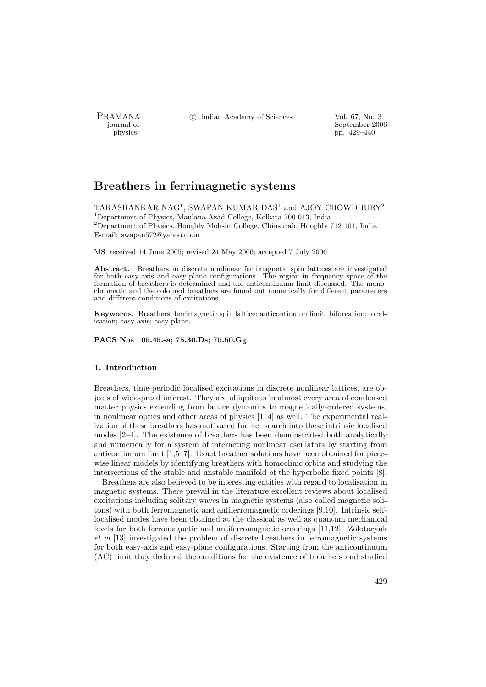PRAMANA <sup>C</sup> Indian Academy of Sciences Vol. 67, No. 3<br>
indian Academy of Sciences Vol. 67, No. 3

physics and the september 2006 physics control by the september 2006 physics control by the 429–440 pp. 429–440 pp. 429–440

# Breathers in ferrimagnetic systems

TARASHANKAR NAG<sup>1</sup>, SWAPAN KUMAR DAS<sup>1</sup> and AJOY CHOWDHURY<sup>2</sup> <sup>1</sup>Department of Physics, Maulana Azad College, Kolkata 700 013, India <sup>2</sup>Department of Physics, Hooghly Mohsin College, Chinsurah, Hooghly 712 101, India E-mail: swapan572@yahoo.co.in

MS received 14 June 2005; revised 24 May 2006; accepted 7 July 2006

Abstract. Breathers in discrete nonlinear ferrimagnetic spin lattices are investigated for both easy-axis and easy-plane configurations. The region in frequency space of the formation of breathers is determined and the anticontinuum limit discussed. The monochromatic and the coloured breathers are found out numerically for different parameters and different conditions of excitations.

Keywords. Breathers; ferrimagnetic spin lattice; anticontinuum limit; bifurcation; localisation; easy-axis; easy-plane.

PACS Nos 05.45.-a; 75.30.Ds; 75.50.Gg

# 1. Introduction

Breathers, time-periodic localised excitations in discrete nonlinear lattices, are objects of widespread interest. They are ubiquitous in almost every area of condensed matter physics extending from lattice dynamics to magnetically-ordered systems, in nonlinear optics and other areas of physics [1–4] as well. The experimental realization of these breathers has motivated further search into these intrinsic localised modes [2–4]. The existence of breathers has been demonstrated both analytically and numerically for a system of interacting nonlinear oscillators by starting from anticontinuum limit [1,5–7]. Exact breather solutions have been obtained for piecewise linear models by identifying breathers with homoclinic orbits and studying the intersections of the stable and unstable manifold of the hyperbolic fixed points [8].

Breathers are also believed to be interesting entities with regard to localisation in magnetic systems. There prevail in the literature excellent reviews about localised excitations including solitary waves in magnetic systems (also called magnetic solitons) with both ferromagnetic and antiferromagnetic orderings [9,10]. Intrinsic selflocalised modes have been obtained at the classical as well as quantum mechanical levels for both ferromagnetic and antiferromagnetic orderings [11,12]. Zolotaryuk et al [13] investigated the problem of discrete breathers in ferromagnetic systems for both easy-axis and easy-plane configurations. Starting from the anticontinuum (AC) limit they deduced the conditions for the existence of breathers and studied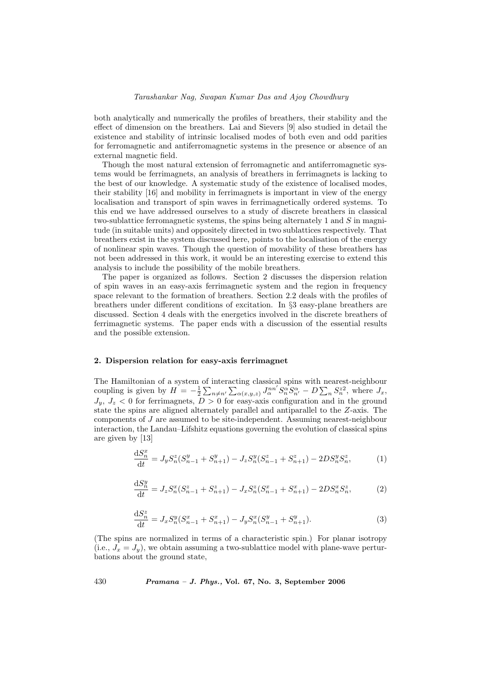both analytically and numerically the profiles of breathers, their stability and the effect of dimension on the breathers. Lai and Sievers [9] also studied in detail the existence and stability of intrinsic localised modes of both even and odd parities for ferromagnetic and antiferromagnetic systems in the presence or absence of an external magnetic field.

Though the most natural extension of ferromagnetic and antiferromagnetic systems would be ferrimagnets, an analysis of breathers in ferrimagnets is lacking to the best of our knowledge. A systematic study of the existence of localised modes, their stability [16] and mobility in ferrimagnets is important in view of the energy localisation and transport of spin waves in ferrimagnetically ordered systems. To this end we have addressed ourselves to a study of discrete breathers in classical two-sublattice ferromagnetic systems, the spins being alternately  $1$  and  $S$  in magnitude (in suitable units) and oppositely directed in two sublattices respectively. That breathers exist in the system discussed here, points to the localisation of the energy of nonlinear spin waves. Though the question of movability of these breathers has not been addressed in this work, it would be an interesting exercise to extend this analysis to include the possibility of the mobile breathers.

The paper is organized as follows. Section 2 discusses the dispersion relation of spin waves in an easy-axis ferrimagnetic system and the region in frequency space relevant to the formation of breathers. Section 2.2 deals with the profiles of breathers under different conditions of excitation. In §3 easy-plane breathers are discussed. Section 4 deals with the energetics involved in the discrete breathers of ferrimagnetic systems. The paper ends with a discussion of the essential results and the possible extension.

## 2. Dispersion relation for easy-axis ferrimagnet

The Hamiltonian of a system of interacting classical spins with nearest-neighbour coupling is given by  $H = -\frac{1}{2}$  $\frac{1}{2}$  $n \neq n'$ acı the classical spins with nearest-neignbour<br>  $\alpha(x,y,z) J_{\alpha}^{nn'} S_{n}^{\alpha} S_{n'}^{\alpha} - D \sum_{n} S_{n}^{zz}$ , where  $J_x$ ,  $J_y, J_z < 0$  for ferrimagnets,  $D > 0$  for easy-axis configuration and in the ground state the spins are aligned alternately parallel and antiparallel to the Z-axis. The components of J are assumed to be site-independent. Assuming nearest-neighbour interaction, the Landau–Lifshitz equations governing the evolution of classical spins are given by [13]

$$
\frac{\mathrm{d}S_n^x}{\mathrm{d}t} = J_y S_n^z (S_{n-1}^y + S_{n+1}^y) - J_z S_n^y (S_{n-1}^z + S_{n+1}^z) - 2DS_n^y S_n^z,\tag{1}
$$

$$
\frac{\mathrm{d}S_n^y}{\mathrm{d}t} = J_z S_n^x (S_{n-1}^z + S_{n+1}^z) - J_x S_n^z (S_{n-1}^x + S_{n+1}^x) - 2DS_n^x S_n^z,\tag{2}
$$

$$
\frac{\mathrm{d}S_n^z}{\mathrm{d}t} = J_x S_n^y (S_{n-1}^x + S_{n+1}^x) - J_y S_n^x (S_{n-1}^y + S_{n+1}^y). \tag{3}
$$

(The spins are normalized in terms of a characteristic spin.) For planar isotropy (i.e.,  $J_x = J_y$ ), we obtain assuming a two-sublattice model with plane-wave perturbations about the ground state,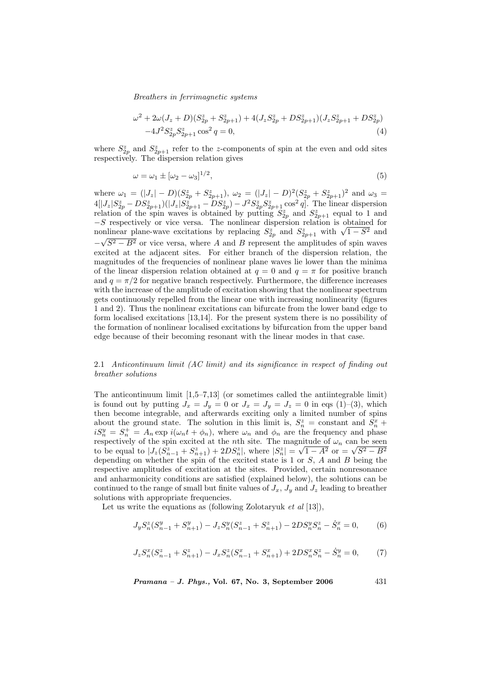$$
\omega^2 + 2\omega(J_z + D)(S_{2p}^z + S_{2p+1}^z) + 4(J_zS_{2p}^z + DS_{2p+1}^z)(J_zS_{2p+1}^z + DS_{2p}^z) -4J^2S_{2p}^zS_{2p+1}^z\cos^2 q = 0,
$$
\n(4)

where  $S_{2p}^z$  and  $S_{2p+1}^z$  refer to the z-components of spin at the even and odd sites respectively. The dispersion relation gives

$$
\omega = \omega_1 \pm [\omega_2 - \omega_3]^{1/2},\tag{5}
$$

where  $\omega_1 = (|J_z| - D)(S_{2p}^z + S_{2p+1}^z), \ \omega_2 = (|J_z| - D)^2(S_{2p}^z + S_{2p+1}^z)^2$  and  $\omega_3 =$  $4[|J_z|S_{2p}^z - DS_{2p+1}^z)(|J_z|S_{2p+1}^z - DS_{2p}^z) - J^2S_{2p}^zS_{2p+1}^z \cos^2 q]$ . The linear dispersion relation of the spin waves is obtained by putting  $S_{2p}$  and  $S_{2p+1}$  equal to 1 and −S respectively or vice versa. The nonlinear dispersion relation is obtained for -S respectively or vice versa. The nonlinear dispersion relation is obtained for<br>nonlinear plane-wave excitations by replacing  $S_{2p}^z$  and  $S_{2p+1}^z$  with  $\sqrt{1-S^2}$  and  $-\sqrt{S^2 - B^2}$  or vice versa, where A and B represent the amplitudes of spin waves excited at the adjacent sites. For either branch of the dispersion relation, the magnitudes of the frequencies of nonlinear plane waves lie lower than the minima of the linear dispersion relation obtained at  $q = 0$  and  $q = \pi$  for positive branch and  $q = \pi/2$  for negative branch respectively. Furthermore, the difference increases with the increase of the amplitude of excitation showing that the nonlinear spectrum gets continuously repelled from the linear one with increasing nonlinearity (figures 1 and 2). Thus the nonlinear excitations can bifurcate from the lower band edge to form localised excitations [13,14]. For the present system there is no possibility of the formation of nonlinear localised excitations by bifurcation from the upper band edge because of their becoming resonant with the linear modes in that case.

# 2.1 Anticontinuum limit (AC limit) and its significance in respect of finding out breather solutions

The anticontinuum limit [1,5–7,13] (or sometimes called the antiintegrable limit) is found out by putting  $J_x = J_y = 0$  or  $J_x = J_y = J_z = 0$  in eqs (1)–(3), which then become integrable, and afterwards exciting only a limited number of spins about the ground state. The solution in this limit is,  $S_n^z = constant$  and  $S_n^x +$  $iS_n^y = S_n^+ = A_n \exp i(\omega_n t + \phi_n)$ , where  $\omega_n$  and  $\phi_n$  are the frequency and phase respectively of the spin excited at the *n*th site. The magnitude of  $\omega_n$  can be seen to be equal to  $|J_z(S_{n-1}^z + S_{n+1}^z) + 2DS_n^z|$ , where  $|S_n^z|$  = mitude of  $\omega_n$  can be seen<br>  $\sqrt{1-A^2}$  or  $=\sqrt{S^2-B^2}$ depending on whether the spin of the excited state is  $1$  or  $S$ ,  $A$  and  $B$  being the respective amplitudes of excitation at the sites. Provided, certain nonresonance and anharmonicity conditions are satisfied (explained below), the solutions can be continued to the range of small but finite values of  $J_x$ ,  $J_y$  and  $J_z$  leading to breather solutions with appropriate frequencies.

Let us write the equations as (following Zolotaryuk *et al* [13]),

$$
J_y S_n^z (S_{n-1}^y + S_{n+1}^y) - J_z S_n^y (S_{n-1}^z + S_{n+1}^z) - 2 D S_n^y S_n^z - \dot{S}_n^x = 0, \qquad (6)
$$

$$
J_z S_n^x (S_{n-1}^z + S_{n+1}^z) - J_x S_n^z (S_{n-1}^x + S_{n+1}^x) + 2DS_n^x S_n^z - \dot{S}_n^y = 0, \qquad (7)
$$

$$
Pramana - J. Phys., Vol. 67, No. 3, September 2006 \qquad \qquad 431
$$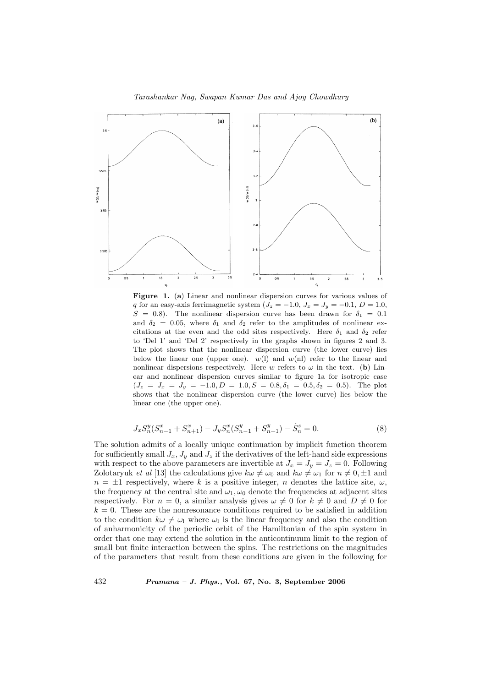#### Tarashankar Nag, Swapan Kumar Das and Ajoy Chowdhury



Figure 1. (a) Linear and nonlinear dispersion curves for various values of q for an easy-axis ferrimagnetic system  $(J_z = -1.0, J_x = J_y = -0.1, D = 1.0,$  $S = 0.8$ ). The nonlinear dispersion curve has been drawn for  $\delta_1 = 0.1$ and  $\delta_2 = 0.05$ , where  $\delta_1$  and  $\delta_2$  refer to the amplitudes of nonlinear excitations at the even and the odd sites respectively. Here  $\delta_1$  and  $\delta_2$  refer to 'Del 1' and 'Del 2' respectively in the graphs shown in figures 2 and 3. The plot shows that the nonlinear dispersion curve (the lower curve) lies below the linear one (upper one).  $w(1)$  and  $w(n)$  refer to the linear and nonlinear dispersions respectively. Here w refers to  $\omega$  in the text. (b) Linear and nonlinear dispersion curves similar to figure 1a for isotropic case  $(J_z = J_x = J_y = -1.0, D = 1.0, S = 0.8, \delta_1 = 0.5, \delta_2 = 0.5)$ . The plot shows that the nonlinear dispersion curve (the lower curve) lies below the linear one (the upper one).

$$
J_x S_n^y (S_{n-1}^x + S_{n+1}^x) - J_y S_n^x (S_{n-1}^y + S_{n+1}^y) - \dot{S}_n^z = 0.
$$
 (8)

The solution admits of a locally unique continuation by implicit function theorem for sufficiently small  $J_x, J_y$  and  $J_z$  if the derivatives of the left-hand side expressions with respect to the above parameters are invertible at  $J_x = J_y = J_z = 0$ . Following Zolotaryuk *et al* [13] the calculations give  $k\omega \neq \omega_0$  and  $k\omega \neq \omega_1$  for  $n \neq 0, \pm 1$  and  $n = \pm 1$  respectively, where k is a positive integer, n denotes the lattice site,  $\omega$ , the frequency at the central site and  $\omega_1, \omega_0$  denote the frequencies at adjacent sites respectively. For  $n = 0$ , a similar analysis gives  $\omega \neq 0$  for  $k \neq 0$  and  $D \neq 0$  for  $k = 0$ . These are the nonresonance conditions required to be satisfied in addition to the condition  $k\omega \neq \omega_1$  where  $\omega_1$  is the linear frequency and also the condition of anharmonicity of the periodic orbit of the Hamiltonian of the spin system in order that one may extend the solution in the anticontinuum limit to the region of small but finite interaction between the spins. The restrictions on the magnitudes of the parameters that result from these conditions are given in the following for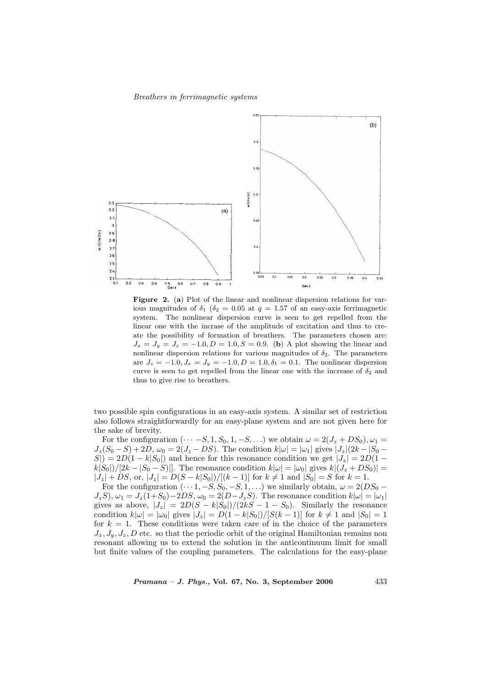

Figure 2. (a) Plot of the linear and nonlinear dispersion relations for various magnitudes of  $\delta_1$  ( $\delta_2$  = 0.05 at  $q = 1.57$  of an easy-axis ferrimagnetic system. The nonlinear dispersion curve is seen to get repelled from the linear one with the incrase of the amplitude of excitation and thus to create the possibility of formation of breathers. The parameters chosen are:  $J_x = J_y = J_z = -1.0, D = 1.0, S = 0.9$ . (b) A plot showing the linear and nonlinear dispersion relations for various magnitudes of  $\delta_2$ . The parameters are  $J_z = -1.0, J_x = J_y = -1.0, D = 1.0, \delta_1 = 0.1$ . The nonlinear dispersion curve is seen to get repelled from the linear one with the increase of  $\delta_2$  and thus to give rise to breathers.

two possible spin configurations in an easy-axis system. A similar set of restriction also follows straightforwardly for an easy-plane system and are not given here for the sake of brevity.

For the configuration  $(\cdots -S, 1, S_0, 1, -S, \ldots)$  we obtain  $\omega = 2(J_z + DS_0), \omega_1 =$  $J_z(S_0 - S) + 2D$ ,  $\omega_0 = 2(J_z - DS)$ . The condition  $k|\omega| = |\omega_1|$  gives  $|J_z|(2k - |S_0 - S|)$  $S|$ ) = 2D(1 – k|S<sub>0</sub>|) and hence for this resonance condition we get  $|J_z| = 2D(1$  $k|S_0|/[2k - |S_0 - S|]$ . The resonance condition  $k|\omega| = |\omega_0|$  gives  $k|(J_z + DS_0)| =$  $|J_z| + DS$ , or,  $|J_z| = D(S - k|S_0|)/[(k-1)]$  for  $k \neq 1$  and  $|S_0| = S$  for  $k = 1$ .

For the configuration  $(\cdots 1, -S, S_0, -S, 1, \ldots)$  we similarly obtain,  $\omega = 2(DS_0 J_zS$ ,  $\omega_1 = J_z(1+S_0) - 2DS$ ,  $\omega_0 = 2(D-J_zS)$ . The resonance condition  $k|\omega| = |\omega_1|$ gives as above,  $|J_z| = 2D(S - k|S_0|)/(2kS - 1 - S_0)$ . Similarly the resonance condition  $k|\omega| = |\omega_0|$  gives  $|J_z| = D(1 - k|S_0|)/[S(k-1)]$  for  $k \neq 1$  and  $|S_0| = 1$ for  $k = 1$ . These conditions were taken care of in the choice of the parameters  $J_x, J_y, J_z, D$  etc. so that the periodic orbit of the original Hamiltonian remains non resonant allowing us to extend the solution in the anticontinuum limit for small but finite values of the coupling parameters. The calculations for the easy-plane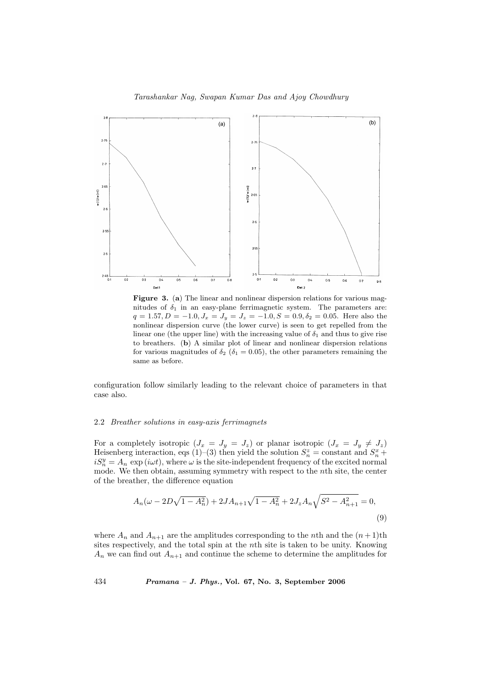## Tarashankar Nag, Swapan Kumar Das and Ajoy Chowdhury



Figure 3. (a) The linear and nonlinear dispersion relations for various magnitudes of  $\delta_1$  in an easy-plane ferrimagnetic system. The parameters are:  $q = 1.57, D = -1.0, J_x = J_y = J_z = -1.0, S = 0.9, \delta_2 = 0.05$ . Here also the nonlinear dispersion curve (the lower curve) is seen to get repelled from the linear one (the upper line) with the increasing value of  $\delta_1$  and thus to give rise to breathers. (b) A similar plot of linear and nonlinear dispersion relations for various magnitudes of  $\delta_2$  ( $\delta_1$  = 0.05), the other parameters remaining the same as before.

configuration follow similarly leading to the relevant choice of parameters in that case also.

#### 2.2 Breather solutions in easy-axis ferrimagnets

For a completely isotropic  $(J_x = J_y = J_z)$  or planar isotropic  $(J_x = J_y \neq J_z)$ Heisenberg interaction, eqs (1)–(3) then yield the solution  $S_n^z = \text{constant}$  and  $S_n^x +$  $iS_n^y = A_n \exp(i\omega t)$ , where  $\omega$  is the site-independent frequency of the excited normal mode. We then obtain, assuming symmetry with respect to the nth site, the center of the breather, the difference equation

$$
A_n(\omega - 2D\sqrt{1 - A_n^2}) + 2JA_{n+1}\sqrt{1 - A_n^2} + 2J_zA_n\sqrt{S^2 - A_{n+1}^2} = 0,
$$
\n(9)

where  $A_n$  and  $A_{n+1}$  are the amplitudes corresponding to the nth and the  $(n+1)$ th sites respectively, and the total spin at the nth site is taken to be unity. Knowing  $A_n$  we can find out  $A_{n+1}$  and continue the scheme to determine the amplitudes for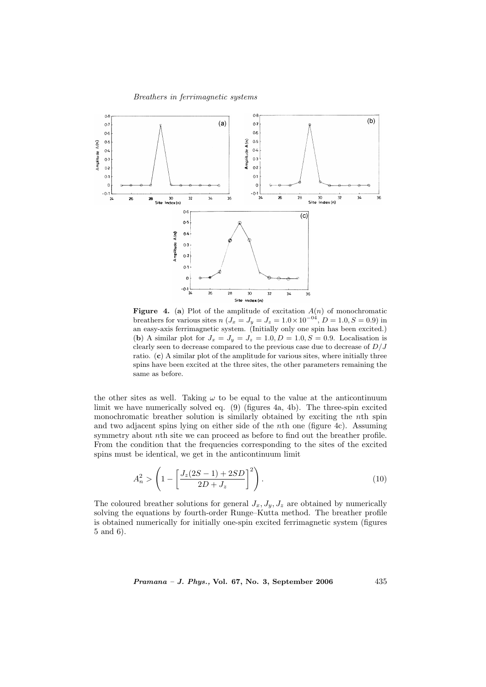

**Figure 4.** (a) Plot of the amplitude of excitation  $A(n)$  of monochromatic breathers for various sites  $n (J_x = J_y = J_z = 1.0 \times 10^{-04}, D = 1.0, S = 0.9)$  in an easy-axis ferrimagnetic system. (Initially only one spin has been excited.) (b) A similar plot for  $J_x = J_y = J_z = 1.0, D = 1.0, S = 0.9$ . Localisation is clearly seen to decrease compared to the previous case due to decrease of  $D/J$ ratio. (c) A similar plot of the amplitude for various sites, where initially three spins have been excited at the three sites, the other parameters remaining the same as before.

the other sites as well. Taking  $\omega$  to be equal to the value at the anticontinuum limit we have numerically solved eq. (9) (figures 4a, 4b). The three-spin excited monochromatic breather solution is similarly obtained by exciting the nth spin and two adjacent spins lying on either side of the nth one (figure 4c). Assuming symmetry about nth site we can proceed as before to find out the breather profile. From the condition that the frequencies corresponding to the sites of the excited spins must be identical, we get in the anticontinuum limit

$$
A_n^2 > \left(1 - \left[\frac{J_z(2S - 1) + 2SD}{2D + J_z}\right]^2\right).
$$
 (10)

The coloured breather solutions for general  $J_x, J_y, J_z$  are obtained by numerically solving the equations by fourth-order Runge–Kutta method. The breather profile is obtained numerically for initially one-spin excited ferrimagnetic system (figures 5 and 6).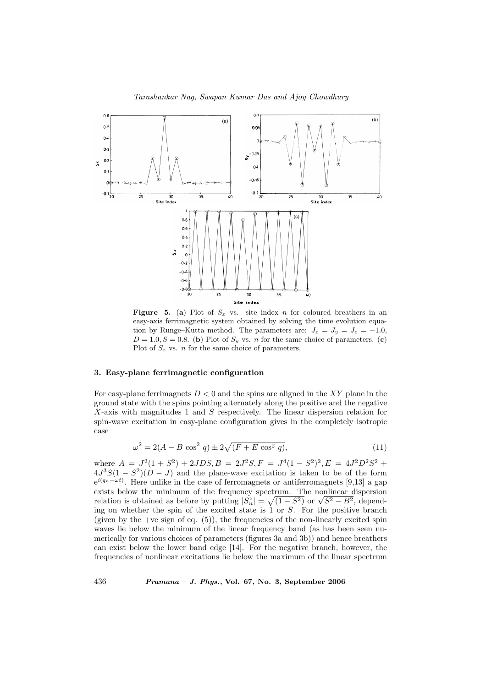

**Figure 5.** (a) Plot of  $S_x$  vs. site index n for coloured breathers in an easy-axis ferrimagnetic system obtained by solving the time evolution equation by Runge–Kutta method. The parameters are:  $J_x = J_y = J_z = -1.0$ ,  $D = 1.0, S = 0.8$ . (b) Plot of  $S_y$  vs. *n* for the same choice of parameters. (c) Plot of  $S_z$  vs. *n* for the same choice of parameters.

## 3. Easy-plane ferrimagnetic configuration

For easy-plane ferrimagnets  $D < 0$  and the spins are aligned in the XY plane in the ground state with the spins pointing alternately along the positive and the negative X-axis with magnitudes 1 and S respectively. The linear dispersion relation for spin-wave excitation in easy-plane configuration gives in the completely isotropic case

$$
\omega^2 = 2(A - B\cos^2 q) \pm 2\sqrt{(F + E\cos^2 q)},\tag{11}
$$

where  $A = J^2(1+S^2) + 2JDS$ ,  $B = 2J^2S$ ,  $F = J^4(1-S^2)^2$ ,  $E = 4J^2D^2S^2 +$  $4J^3S(1-S^2)(D-J)$  and the plane-wave excitation is taken to be of the form  $e^{i(q_n - \omega t)}$ . Here unlike in the case of ferromagnets or antiferromagnets [9,13] a gap exists below the minimum of the frequency spectrum. The nonlinear dispersion relation is obtained as before by putting  $|S_n^z|$  = ctrum. The nonlinear dispersion<br>  $\sqrt{(1-S^2)}$  or  $\sqrt{S^2-B^2}$ , depending on whether the spin of the excited state is 1 or S. For the positive branch (given by the +ve sign of eq.  $(5)$ ), the frequencies of the non-linearly excited spin waves lie below the minimum of the linear frequency band (as has been seen numerically for various choices of parameters (figures 3a and 3b)) and hence breathers can exist below the lower band edge [14]. For the negative branch, however, the frequencies of nonlinear excitations lie below the maximum of the linear spectrum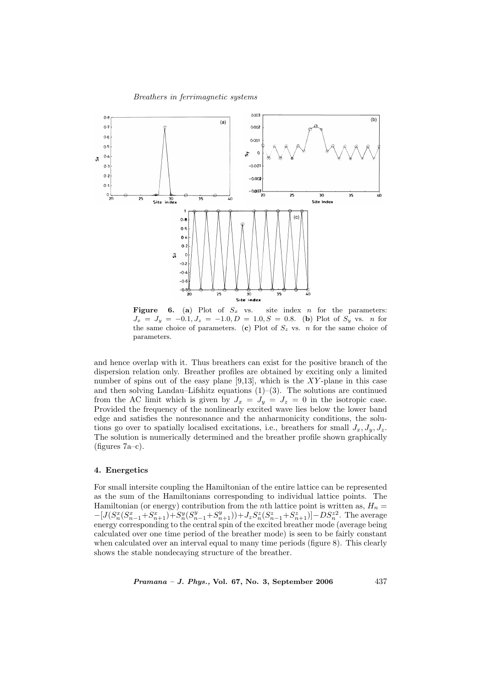

Figure 6. (a) Plot of  $S_x$  vs. site index n for the parameters:  $J_x = J_y = -0.1, J_z = -1.0, D = 1.0, S = 0.8$ . (b) Plot of  $S_y$  vs. n for the same choice of parameters. (c) Plot of  $S_z$  vs. n for the same choice of parameters.

and hence overlap with it. Thus breathers can exist for the positive branch of the dispersion relation only. Breather profiles are obtained by exciting only a limited number of spins out of the easy plane  $[9,13]$ , which is the XY-plane in this case and then solving Landau–Lifshitz equations  $(1)-(3)$ . The solutions are continued from the AC limit which is given by  $J_x = J_y = J_z = 0$  in the isotropic case. Provided the frequency of the nonlinearly excited wave lies below the lower band edge and satisfies the nonresonance and the anharmonicity conditions, the solutions go over to spatially localised excitations, i.e., breathers for small  $J_x, J_y, J_z$ . The solution is numerically determined and the breather profile shown graphically  $(figures 7a-c).$ 

### 4. Energetics

For small intersite coupling the Hamiltonian of the entire lattice can be represented as the sum of the Hamiltonians corresponding to individual lattice points. The Hamiltonian (or energy) contribution from the nth lattice point is written as,  $H_n =$  $-[J(S_n^x(S_{n-1}^x+S_{n+1}^x)+S_n^y(S_{n-1}^y+S_{n+1}^y))+J_zS_n^z(S_{n-1}^z+S_{n+1}^z)]-DS_n^{z^2}$ . The average energy corresponding to the central spin of the excited breather mode (average being calculated over one time period of the breather mode) is seen to be fairly constant when calculated over an interval equal to many time periods (figure 8). This clearly shows the stable nondecaying structure of the breather.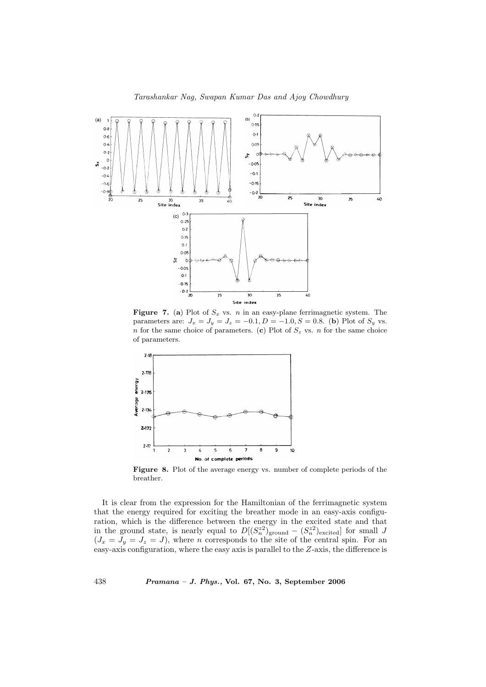

Figure 7. (a) Plot of  $S_x$  vs. n in an easy-plane ferrimagnetic system. The parameters are:  $J_x = J_y = J_z = -0.1, D = -1.0, S = 0.8$ . (b) Plot of  $S_y$  vs. n for the same choice of parameters. (c) Plot of  $S_z$  vs. n for the same choice of parameters.



Figure 8. Plot of the average energy vs. number of complete periods of the breather.

It is clear from the expression for the Hamiltonian of the ferrimagnetic system that the energy required for exciting the breather mode in an easy-axis configuration, which is the difference between the energy in the excited state and that in the ground state, is nearly equal to  $D[(S_n^{z_2})]_{\text{ground}} - (S_n^{z_2})_{\text{excited}}]$  for small J  $(J_x = J_y = J_z = J)$ , where *n* corresponds to the site of the central spin. For an easy-axis configuration, where the easy axis is parallel to the Z-axis, the difference is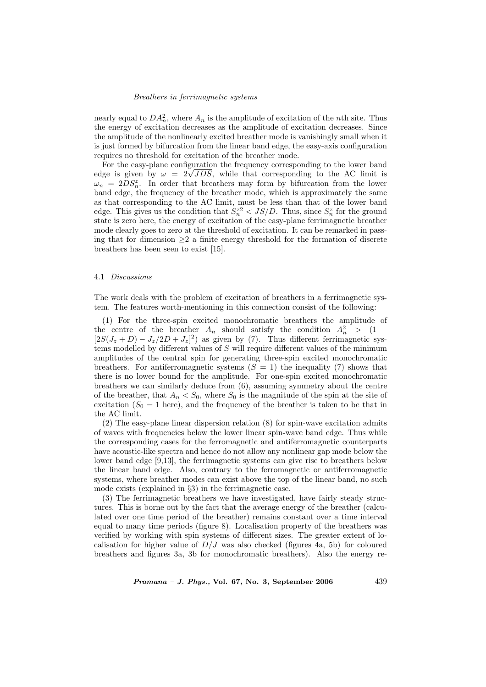nearly equal to  $DA_n^2$ , where  $A_n$  is the amplitude of excitation of the *n*th site. Thus the energy of excitation decreases as the amplitude of excitation decreases. Since the amplitude of the nonlinearly excited breather mode is vanishingly small when it is just formed by bifurcation from the linear band edge, the easy-axis configuration requires no threshold for excitation of the breather mode.

For the easy-plane configuration the frequency corresponding to the lower band For the easy-plane configuration the frequency corresponding to the lower band edge is given by  $\omega = 2\sqrt{JDS}$ , while that corresponding to the AC limit is  $\omega_n = 2DS_n^z$ . In order that breathers may form by bifurcation from the lower band edge, the frequency of the breather mode, which is approximately the same as that corresponding to the AC limit, must be less than that of the lower band edge. This gives us the condition that  $S_n^{z2} < JS/D$ . Thus, since  $S_n^z$  for the ground state is zero here, the energy of excitation of the easy-plane ferrimagnetic breather mode clearly goes to zero at the threshold of excitation. It can be remarked in passing that for dimension  $\geq 2$  a finite energy threshold for the formation of discrete breathers has been seen to exist [15].

#### 4.1 Discussions

The work deals with the problem of excitation of breathers in a ferrimagnetic system. The features worth-mentioning in this connection consist of the following:

(1) For the three-spin excited monochromatic breathers the amplitude of the centre of the breather  $A_n$  should satisfy the condition  $A_n^2 > (1 [2S(J_z+D)-J_z/2D+J_z]^2$  as given by (7). Thus different ferrimagnetic systems modelled by different values of  $S$  will require different values of the minimum amplitudes of the central spin for generating three-spin excited monochromatic breathers. For antiferromagnetic systems  $(S = 1)$  the inequality (7) shows that there is no lower bound for the amplitude. For one-spin excited monochromatic breathers we can similarly deduce from (6), assuming symmetry about the centre of the breather, that  $A_n < S_0$ , where  $S_0$  is the magnitude of the spin at the site of excitation  $(S_0 = 1$  here), and the frequency of the breather is taken to be that in the AC limit.

(2) The easy-plane linear dispersion relation (8) for spin-wave excitation admits of waves with frequencies below the lower linear spin-wave band edge. Thus while the corresponding cases for the ferromagnetic and antiferromagnetic counterparts have acoustic-like spectra and hence do not allow any nonlinear gap mode below the lower band edge [9,13], the ferrimagnetic systems can give rise to breathers below the linear band edge. Also, contrary to the ferromagnetic or antiferromagnetic systems, where breather modes can exist above the top of the linear band, no such mode exists (explained in §3) in the ferrimagnetic case.

(3) The ferrimagnetic breathers we have investigated, have fairly steady structures. This is borne out by the fact that the average energy of the breather (calculated over one time period of the breather) remains constant over a time interval equal to many time periods (figure 8). Localisation property of the breathers was verified by working with spin systems of different sizes. The greater extent of localisation for higher value of  $D/J$  was also checked (figures 4a, 5b) for coloured breathers and figures 3a, 3b for monochromatic breathers). Also the energy re-